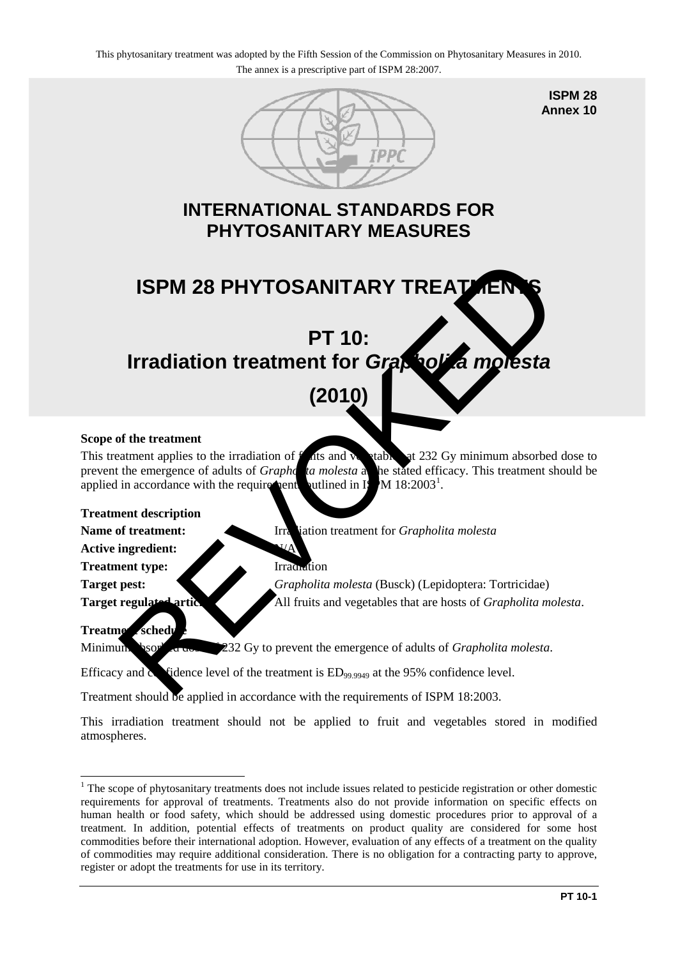

**ISPM 28 Annex 10**

## **INTERNATIONAL STANDARDS FOR PHYTOSANITARY MEASURES**

# **ISPM 28 PHYTOSANITARY TREATMENT PT 10: Irradiation treatment for** *Grapholita molesta* ISPM 28 PHYTOSANITARY TREATER<br>
PT 10:<br>
Irradiation treatment for Graphs of the treatment<br>
(2010)<br>
of the treatment<br>
state (2010)<br>
of the treatment<br>
tament applies to the irradiation of this and the state of exception<br>
the

# **(2010)**

### **Scope of the treatment**

This treatment applies to the irradiation of  $\hat{f}$  at and  $\hat{v}$  at 232 Gy minimum absorbed dose to prevent the emergence of adults of *Grapholita molesta* at the stated efficacy. This treatment should be applied in accordance with the requirements outlined in  $\mathbb{I}\S$ M 18:2003<sup>1</sup>.

### **Treatment description**

**Name of treatment:** Irradiation treatment for *Grapholita molesta* 

**Active ingredient:** 

Treatment type: Irradiation

**Target pest:** *Grapholita molesta* (Busck) (Lepidoptera: Tortricidae) **Target regulated articles:** All fruits and vegetables that are hosts of *Grapholita molesta*.

### **Treatment schedule**

Minimum **b**sor<sup>b</sup> a dose 232 Gy to prevent the emergence of adults of *Grapholita molesta*.

Efficacy and  $\alpha$  fidence level of the treatment is  $ED_{99,9949}$  at the 95% confidence level.

Treatment should be applied in accordance with the requirements of ISPM 18:2003.

This irradiation treatment should not be applied to fruit and vegetables stored in modified atmospheres.

<span id="page-0-0"></span><sup>&</sup>lt;u>.</u> <sup>1</sup> The scope of phytosanitary treatments does not include issues related to pesticide registration or other domestic requirements for approval of treatments. Treatments also do not provide information on specific effects on human health or food safety, which should be addressed using domestic procedures prior to approval of a treatment. In addition, potential effects of treatments on product quality are considered for some host commodities before their international adoption. However, evaluation of any effects of a treatment on the quality of commodities may require additional consideration. There is no obligation for a contracting party to approve, register or adopt the treatments for use in its territory.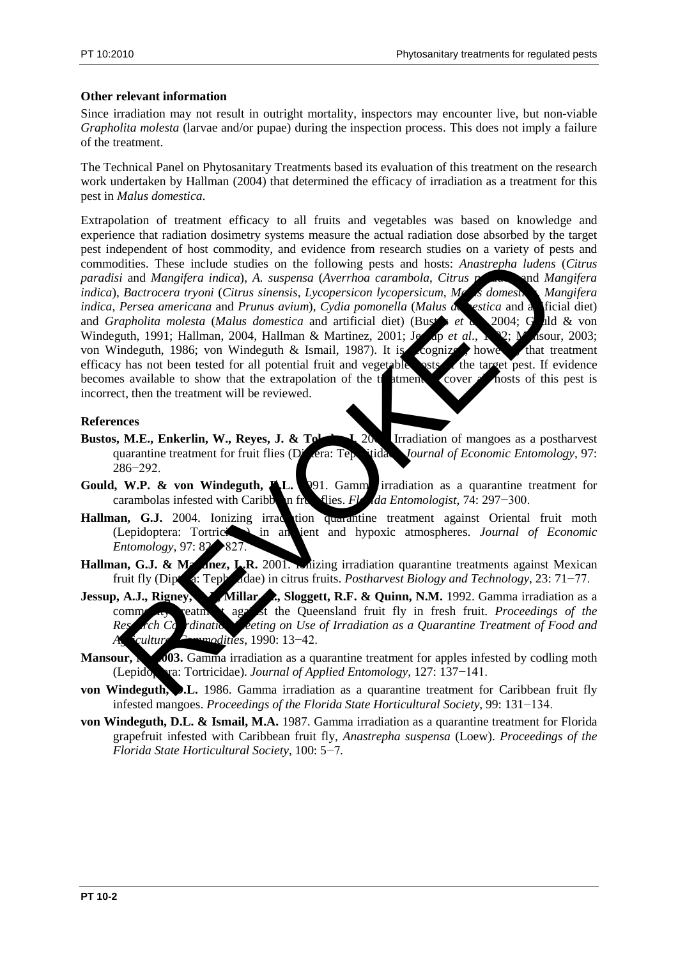### **Other relevant information**

Since irradiation may not result in outright mortality, inspectors may encounter live, but non-viable *Grapholita molesta* (larvae and/or pupae) during the inspection process. This does not imply a failure of the treatment.

The Technical Panel on Phytosanitary Treatments based its evaluation of this treatment on the research work undertaken by Hallman (2004) that determined the efficacy of irradiation as a treatment for this pest in *Malus domestica*.

Extrapolation of treatment efficacy to all fruits and vegetables was based on knowledge and experience that radiation dosimetry systems measure the actual radiation dose absorbed by the target pest independent of host commodity, and evidence from research studies on a variety of pests and commodities. These include studies on the following pests and hosts: *Anastrepha ludens* (*Citrus paradisi* and *Mangifera indica*), *A. suspensa* (*Averrhoa carambola*, *Citrus paradisi* and *Mangifera indica*), *Bactrocera tryoni* (*Citrus sinensis*, *Lycopersicon lycopersicum*, *Malus domestica*, *Mangifera indica*, *Persea americana* and *Prunus avium*), *Cydia pomonella* (*Malus de estica* and a ficial diet) and *Grapholita molesta* (*Malus domestica* and artificial diet) (Bustar *et a*) 2004; Guld & von Windeguth, 1991; Hallman, 2004, Hallman & Martinez, 2001; Jessep *et al.*, 192; Masour, 2003; von Windeguth, 1986; von Windeguth & Ismail, 1987). It is cognized, however, that treatment efficacy has not been tested for all potential fruit and vegetable sets of the target pest. If evidence becomes available to show that the extrapolation of the trainent to cover all hosts of this pest is incorrect, then the treatment will be reviewed. dities. These include studies on the following pests and hosts: Anastrepha ludens<br>
is Bactrocera tryoni (Citrus sinensis, Lycopersicon hycopersicum, ML<br> *Bactrocera tryoni (Citrus sinensis, Lycopersicon hycopersicum, ML*<br>

### **References**

- **Bustos, M.E., Enkerlin, W., Reyes, J. & Toleroof 1.** 200 Irradiation of mangoes as a postharvest quarantine treatment for fruit flies (Diptera: Tephritidae). *Journal of Economic Entomology*, 97: 286−292.
- **Gould, W.P. & von Windeguth, A.L.** 1991. Gamma irradiation as a quarantine treatment for carambolas infested with Caribb**on fruit flies.** *Florida Entomologist*, 74: 297−300.
- Hallman, G.J. 2004. Ionizing irradition quarantine treatment against Oriental fruit moth (Lepidoptera: Tortricidae) in ambient and hypoxic atmospheres. *Journal of Economic Entomology*, 97: 82→827
- Hallman, G.J. & Martinez, L.R. 2001. Inizing irradiation quarantine treatments against Mexican fruit fly (Diptera: Tephritidae) in citrus fruits. *Postharvest Biology and Technology*, 23: 71−77.
- Jessup, A.J., Rigney, Millar, Sloggett, R.F. & Quinn, N.M. 1992. Gamma irradiation as a commodial treatment against the Queensland fruit fly in fresh fruit. *Proceedings of the* Research Containing Meeting on Use of Irradiation as a Quarantine Treatment of Food and *Agricultural Commodities*, 1990: 13−42.
- Mansour, **M. 2003.** Gamma irradiation as a quarantine treatment for apples infested by codling moth (Lepido<sub>p</sub>era: Tortricidae). *Journal of Applied Entomology*, 127: 137−141.
- **von Windeguth, D.L.** 1986. Gamma irradiation as a quarantine treatment for Caribbean fruit fly infested mangoes. *Proceedings of the Florida State Horticultural Society*, 99: 131−134.
- **von Windeguth, D.L. & Ismail, M.A.** 1987. Gamma irradiation as a quarantine treatment for Florida grapefruit infested with Caribbean fruit fly, *Anastrepha suspensa* (Loew). *Proceedings of the Florida State Horticultural Society*, 100: 5−7.